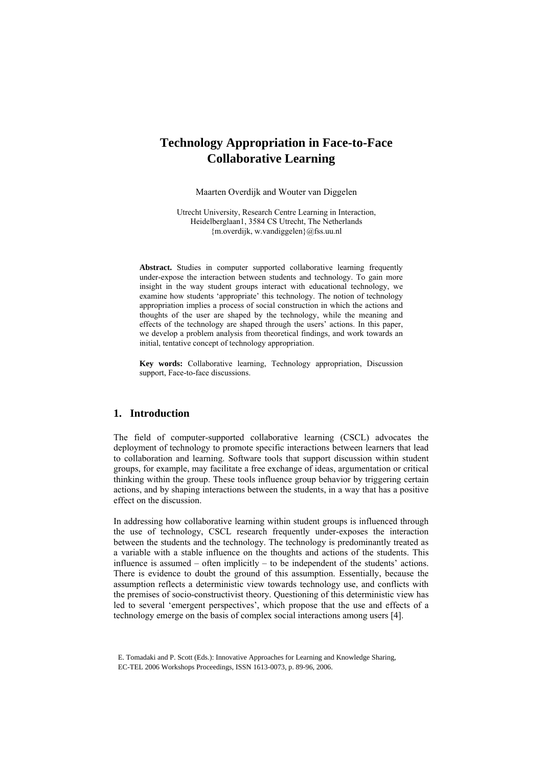# **Technology Appropriation in Face-to-Face Collaborative Learning**

Maarten Overdijk and Wouter van Diggelen

Utrecht University, Research Centre Learning in Interaction, Heidelberglaan1, 3584 CS Utrecht, The Netherlands {m.overdijk, w.vandiggelen}@fss.uu.nl

**Abstract.** Studies in computer supported collaborative learning frequently under-expose the interaction between students and technology. To gain more insight in the way student groups interact with educational technology, we examine how students 'appropriate' this technology. The notion of technology appropriation implies a process of social construction in which the actions and thoughts of the user are shaped by the technology, while the meaning and effects of the technology are shaped through the users' actions. In this paper, we develop a problem analysis from theoretical findings, and work towards an initial, tentative concept of technology appropriation.

**Key words:** Collaborative learning, Technology appropriation, Discussion support, Face-to-face discussions.

# **1. Introduction**

The field of computer-supported collaborative learning (CSCL) advocates the deployment of technology to promote specific interactions between learners that lead to collaboration and learning. Software tools that support discussion within student groups, for example, may facilitate a free exchange of ideas, argumentation or critical thinking within the group. These tools influence group behavior by triggering certain actions, and by shaping interactions between the students, in a way that has a positive effect on the discussion.

In addressing how collaborative learning within student groups is influenced through the use of technology, CSCL research frequently under-exposes the interaction between the students and the technology. The technology is predominantly treated as a variable with a stable influence on the thoughts and actions of the students. This influence is assumed – often implicitly – to be independent of the students' actions. There is evidence to doubt the ground of this assumption. Essentially, because the assumption reflects a deterministic view towards technology use, and conflicts with the premises of socio-constructivist theory. Questioning of this deterministic view has led to several 'emergent perspectives', which propose that the use and effects of a technology emerge on the basis of complex social interactions among users [4].

E. Tomadaki and P. Scott (Eds.): Innovative Approaches for Learning and Knowledge Sharing, EC-TEL 2006 Workshops Proceedings, ISSN 1613-0073, p. 89-96, 2006.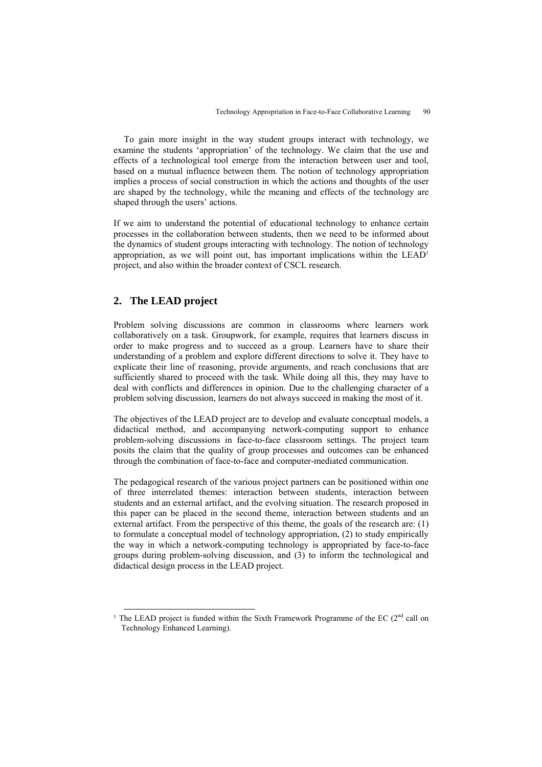To gain more insight in the way student groups interact with technology, we examine the students 'appropriation' of the technology. We claim that the use and effects of a technological tool emerge from the interaction between user and tool, based on a mutual influence between them. The notion of technology appropriation implies a process of social construction in which the actions and thoughts of the user are shaped by the technology, while the meaning and effects of the technology are shaped through the users' actions.

If we aim to understand the potential of educational technology to enhance certain processes in the collaboration between students, then we need to be informed about the dynamics of student groups interacting with technology. The notion of technology appropriation, as we will point out, has important implications within the LEA[D1](#page-1-0) project, and also within the broader context of CSCL research.

# **2. The LEAD project**

Problem solving discussions are common in classrooms where learners work collaboratively on a task. Groupwork, for example, requires that learners discuss in order to make progress and to succeed as a group. Learners have to share their understanding of a problem and explore different directions to solve it. They have to explicate their line of reasoning, provide arguments, and reach conclusions that are sufficiently shared to proceed with the task. While doing all this, they may have to deal with conflicts and differences in opinion. Due to the challenging character of a problem solving discussion, learners do not always succeed in making the most of it.

The objectives of the LEAD project are to develop and evaluate conceptual models, a didactical method, and accompanying network-computing support to enhance problem-solving discussions in face-to-face classroom settings. The project team posits the claim that the quality of group processes and outcomes can be enhanced through the combination of face-to-face and computer-mediated communication.

The pedagogical research of the various project partners can be positioned within one of three interrelated themes: interaction between students, interaction between students and an external artifact, and the evolving situation. The research proposed in this paper can be placed in the second theme, interaction between students and an external artifact. From the perspective of this theme, the goals of the research are: (1) to formulate a conceptual model of technology appropriation, (2) to study empirically the way in which a network-computing technology is appropriated by face-to-face groups during problem-solving discussion, and (3) to inform the technological and didactical design process in the LEAD project.

<span id="page-1-0"></span><sup>&</sup>lt;sup>1</sup> The LEAD project is funded within the Sixth Framework Programme of the EC ( $2<sup>nd</sup>$  call on Technology Enhanced Learning).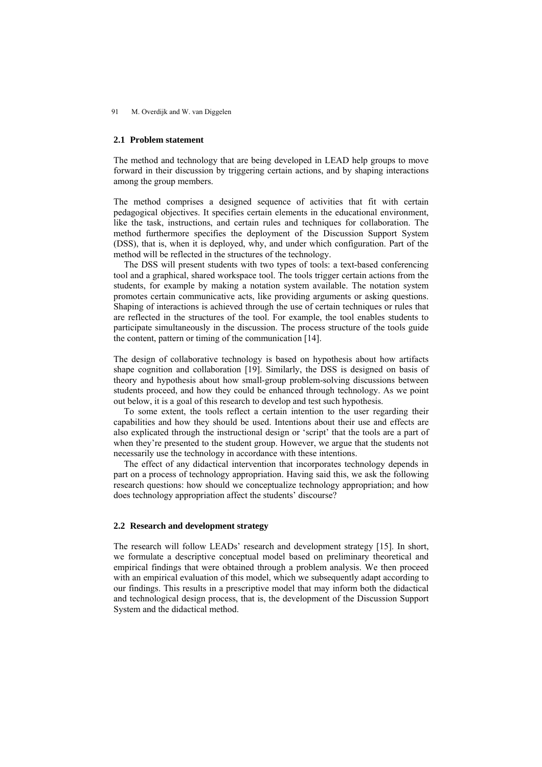#### 91 M. Overdijk and W. van Diggelen

#### **2.1 Problem statement**

The method and technology that are being developed in LEAD help groups to move forward in their discussion by triggering certain actions, and by shaping interactions among the group members.

The method comprises a designed sequence of activities that fit with certain pedagogical objectives. It specifies certain elements in the educational environment, like the task, instructions, and certain rules and techniques for collaboration. The method furthermore specifies the deployment of the Discussion Support System (DSS), that is, when it is deployed, why, and under which configuration. Part of the method will be reflected in the structures of the technology.

The DSS will present students with two types of tools: a text-based conferencing tool and a graphical, shared workspace tool. The tools trigger certain actions from the students, for example by making a notation system available. The notation system promotes certain communicative acts, like providing arguments or asking questions. Shaping of interactions is achieved through the use of certain techniques or rules that are reflected in the structures of the tool. For example, the tool enables students to participate simultaneously in the discussion. The process structure of the tools guide the content, pattern or timing of the communication [14].

The design of collaborative technology is based on hypothesis about how artifacts shape cognition and collaboration [19]. Similarly, the DSS is designed on basis of theory and hypothesis about how small-group problem-solving discussions between students proceed, and how they could be enhanced through technology. As we point out below, it is a goal of this research to develop and test such hypothesis.

To some extent, the tools reflect a certain intention to the user regarding their capabilities and how they should be used. Intentions about their use and effects are also explicated through the instructional design or 'script' that the tools are a part of when they're presented to the student group. However, we argue that the students not necessarily use the technology in accordance with these intentions.

The effect of any didactical intervention that incorporates technology depends in part on a process of technology appropriation. Having said this, we ask the following research questions: how should we conceptualize technology appropriation; and how does technology appropriation affect the students' discourse?

#### **2.2 Research and development strategy**

The research will follow LEADs' research and development strategy [15]. In short, we formulate a descriptive conceptual model based on preliminary theoretical and empirical findings that were obtained through a problem analysis. We then proceed with an empirical evaluation of this model, which we subsequently adapt according to our findings. This results in a prescriptive model that may inform both the didactical and technological design process, that is, the development of the Discussion Support System and the didactical method.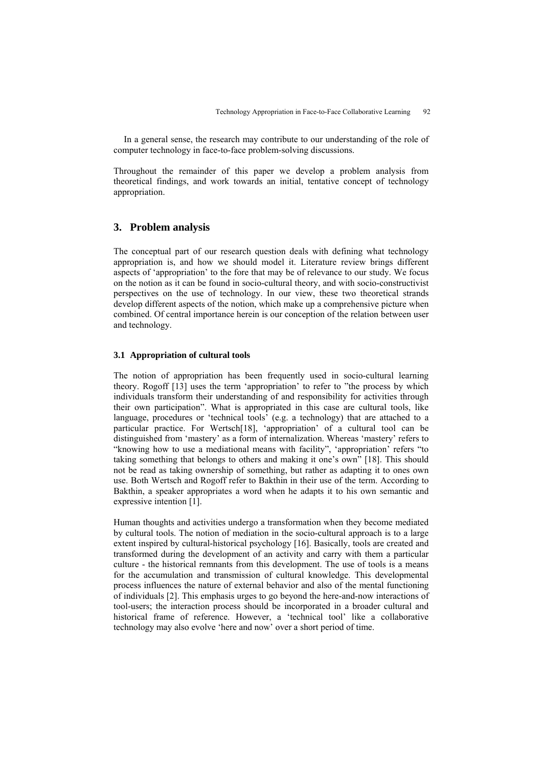In a general sense, the research may contribute to our understanding of the role of computer technology in face-to-face problem-solving discussions.

Throughout the remainder of this paper we develop a problem analysis from theoretical findings, and work towards an initial, tentative concept of technology appropriation.

### **3. Problem analysis**

The conceptual part of our research question deals with defining what technology appropriation is, and how we should model it. Literature review brings different aspects of 'appropriation' to the fore that may be of relevance to our study. We focus on the notion as it can be found in socio-cultural theory, and with socio-constructivist perspectives on the use of technology. In our view, these two theoretical strands develop different aspects of the notion, which make up a comprehensive picture when combined. Of central importance herein is our conception of the relation between user and technology.

#### **3.1 Appropriation of cultural tools**

The notion of appropriation has been frequently used in socio-cultural learning theory. Rogoff [13] uses the term 'appropriation' to refer to "the process by which individuals transform their understanding of and responsibility for activities through their own participation". What is appropriated in this case are cultural tools, like language, procedures or 'technical tools' (e.g. a technology) that are attached to a particular practice. For Wertsch[18], 'appropriation' of a cultural tool can be distinguished from 'mastery' as a form of internalization. Whereas 'mastery' refers to "knowing how to use a mediational means with facility", 'appropriation' refers "to taking something that belongs to others and making it one's own" [18]. This should not be read as taking ownership of something, but rather as adapting it to ones own use. Both Wertsch and Rogoff refer to Bakthin in their use of the term. According to Bakthin, a speaker appropriates a word when he adapts it to his own semantic and expressive intention [1].

Human thoughts and activities undergo a transformation when they become mediated by cultural tools. The notion of mediation in the socio-cultural approach is to a large extent inspired by cultural-historical psychology [16]. Basically, tools are created and transformed during the development of an activity and carry with them a particular culture - the historical remnants from this development. The use of tools is a means for the accumulation and transmission of cultural knowledge. This developmental process influences the nature of external behavior and also of the mental functioning of individuals [2]. This emphasis urges to go beyond the here-and-now interactions of tool-users; the interaction process should be incorporated in a broader cultural and historical frame of reference. However, a 'technical tool' like a collaborative technology may also evolve 'here and now' over a short period of time.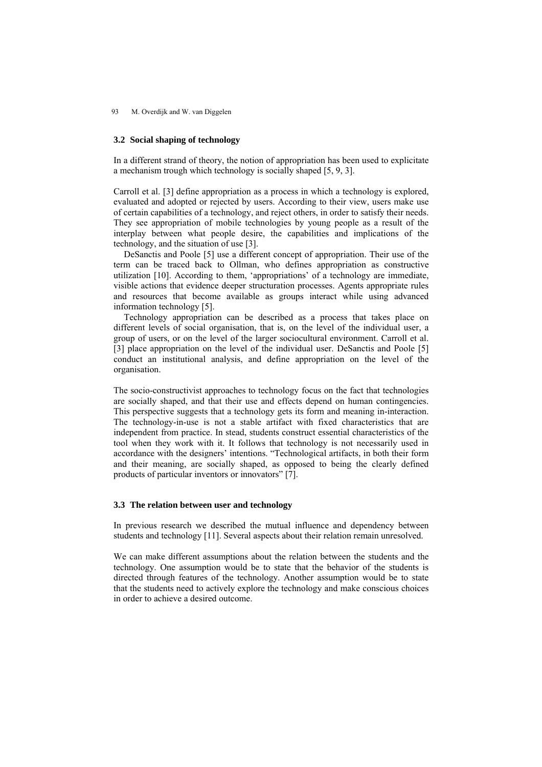93 M. Overdijk and W. van Diggelen

#### **3.2 Social shaping of technology**

In a different strand of theory, the notion of appropriation has been used to explicitate a mechanism trough which technology is socially shaped [5, 9, 3].

Carroll et al. [3] define appropriation as a process in which a technology is explored, evaluated and adopted or rejected by users. According to their view, users make use of certain capabilities of a technology, and reject others, in order to satisfy their needs. They see appropriation of mobile technologies by young people as a result of the interplay between what people desire, the capabilities and implications of the technology, and the situation of use [3].

DeSanctis and Poole [5] use a different concept of appropriation. Their use of the term can be traced back to Ollman, who defines appropriation as constructive utilization [10]. According to them, 'appropriations' of a technology are immediate, visible actions that evidence deeper structuration processes. Agents appropriate rules and resources that become available as groups interact while using advanced information technology [5].

Technology appropriation can be described as a process that takes place on different levels of social organisation, that is, on the level of the individual user, a group of users, or on the level of the larger sociocultural environment. Carroll et al. [3] place appropriation on the level of the individual user. DeSanctis and Poole [5] conduct an institutional analysis, and define appropriation on the level of the organisation.

The socio-constructivist approaches to technology focus on the fact that technologies are socially shaped, and that their use and effects depend on human contingencies. This perspective suggests that a technology gets its form and meaning in-interaction. The technology-in-use is not a stable artifact with fixed characteristics that are independent from practice. In stead, students construct essential characteristics of the tool when they work with it. It follows that technology is not necessarily used in accordance with the designers' intentions. "Technological artifacts, in both their form and their meaning, are socially shaped, as opposed to being the clearly defined products of particular inventors or innovators" [7].

#### **3.3 The relation between user and technology**

In previous research we described the mutual influence and dependency between students and technology [11]. Several aspects about their relation remain unresolved.

We can make different assumptions about the relation between the students and the technology. One assumption would be to state that the behavior of the students is directed through features of the technology. Another assumption would be to state that the students need to actively explore the technology and make conscious choices in order to achieve a desired outcome.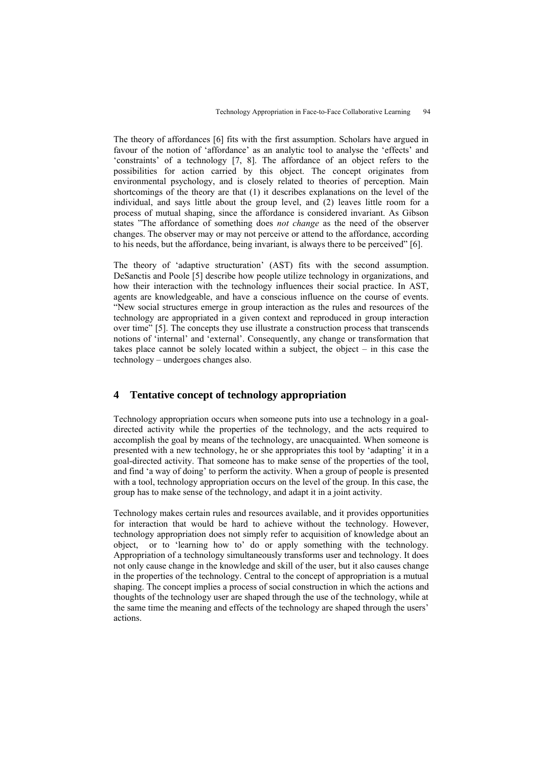The theory of affordances [6] fits with the first assumption. Scholars have argued in favour of the notion of 'affordance' as an analytic tool to analyse the 'effects' and 'constraints' of a technology [7, 8]. The affordance of an object refers to the possibilities for action carried by this object. The concept originates from environmental psychology, and is closely related to theories of perception. Main shortcomings of the theory are that (1) it describes explanations on the level of the individual, and says little about the group level, and (2) leaves little room for a process of mutual shaping, since the affordance is considered invariant. As Gibson states "The affordance of something does *not change* as the need of the observer changes. The observer may or may not perceive or attend to the affordance, according to his needs, but the affordance, being invariant, is always there to be perceived" [6].

The theory of 'adaptive structuration' (AST) fits with the second assumption. DeSanctis and Poole [5] describe how people utilize technology in organizations, and how their interaction with the technology influences their social practice. In AST, agents are knowledgeable, and have a conscious influence on the course of events. "New social structures emerge in group interaction as the rules and resources of the technology are appropriated in a given context and reproduced in group interaction over time" [5]. The concepts they use illustrate a construction process that transcends notions of 'internal' and 'external'. Consequently, any change or transformation that takes place cannot be solely located within a subject, the object – in this case the technology – undergoes changes also.

# **4 Tentative concept of technology appropriation**

Technology appropriation occurs when someone puts into use a technology in a goaldirected activity while the properties of the technology, and the acts required to accomplish the goal by means of the technology, are unacquainted. When someone is presented with a new technology, he or she appropriates this tool by 'adapting' it in a goal-directed activity. That someone has to make sense of the properties of the tool, and find 'a way of doing' to perform the activity. When a group of people is presented with a tool, technology appropriation occurs on the level of the group. In this case, the group has to make sense of the technology, and adapt it in a joint activity.

Technology makes certain rules and resources available, and it provides opportunities for interaction that would be hard to achieve without the technology. However, technology appropriation does not simply refer to acquisition of knowledge about an object, or to 'learning how to' do or apply something with the technology. Appropriation of a technology simultaneously transforms user and technology. It does not only cause change in the knowledge and skill of the user, but it also causes change in the properties of the technology. Central to the concept of appropriation is a mutual shaping. The concept implies a process of social construction in which the actions and thoughts of the technology user are shaped through the use of the technology, while at the same time the meaning and effects of the technology are shaped through the users' actions.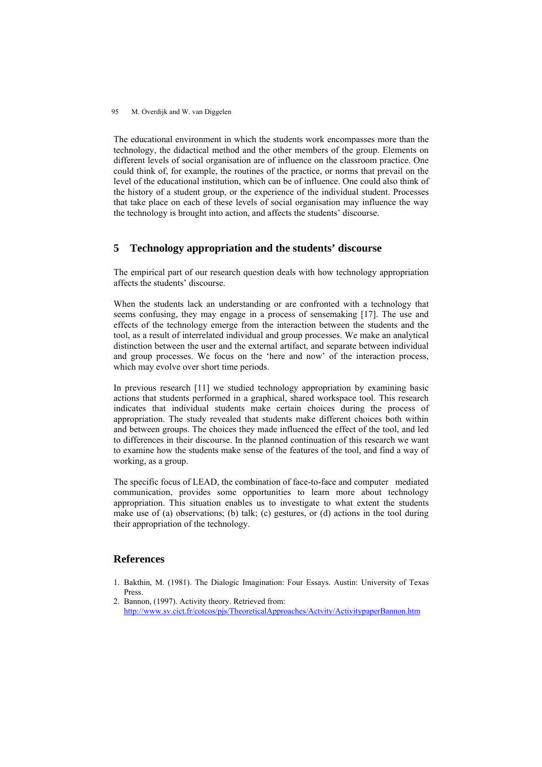#### 95 M. Overdijk and W. van Diggelen

The educational environment in which the students work encompasses more than the technology, the didactical method and the other members of the group. Elements on different levels of social organisation are of influence on the classroom practice. One could think of, for example, the routines of the practice, or norms that prevail on the level of the educational institution, which can be of influence. One could also think of the history of a student group, or the experience of the individual student. Processes that take place on each of these levels of social organisation may influence the way the technology is brought into action, and affects the students' discourse.

# **5 Technology appropriation and the students' discourse**

The empirical part of our research question deals with how technology appropriation affects the students' discourse.

When the students lack an understanding or are confronted with a technology that seems confusing, they may engage in a process of sensemaking [17]. The use and effects of the technology emerge from the interaction between the students and the tool, as a result of interrelated individual and group processes. We make an analytical distinction between the user and the external artifact, and separate between individual and group processes. We focus on the 'here and now' of the interaction process, which may evolve over short time periods.

In previous research [11] we studied technology appropriation by examining basic actions that students performed in a graphical, shared workspace tool. This research indicates that individual students make certain choices during the process of appropriation. The study revealed that students make different choices both within and between groups. The choices they made influenced the effect of the tool, and led to differences in their discourse. In the planned continuation of this research we want to examine how the students make sense of the features of the tool, and find a way of working, as a group.

The specific focus of LEAD, the combination of face-to-face and computer mediated communication, provides some opportunities to learn more about technology appropriation. This situation enables us to investigate to what extent the students make use of (a) observations; (b) talk; (c) gestures, or (d) actions in the tool during their appropriation of the technology.

### **References**

- 1. Bakthin, M. (1981). The Dialogic Imagination: Four Essays. Austin: University of Texas Press.
- 2. Bannon, (1997). Activity theory. Retrieved from: <http://www.sv.cict.fr/cotcos/pjs/TheoreticalApproaches/Actvity/ActivitypaperBannon.htm>